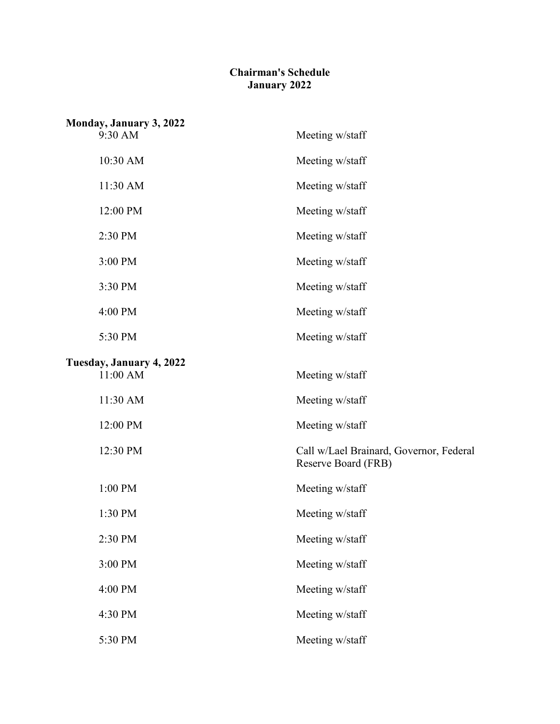## **Chairman's Schedule January 2022**

| Monday, January 3, 2022  |                                                                |
|--------------------------|----------------------------------------------------------------|
| 9:30 AM                  | Meeting w/staff                                                |
| 10:30 AM                 | Meeting w/staff                                                |
| 11:30 AM                 | Meeting w/staff                                                |
| 12:00 PM                 | Meeting w/staff                                                |
| 2:30 PM                  | Meeting w/staff                                                |
| 3:00 PM                  | Meeting w/staff                                                |
| 3:30 PM                  | Meeting w/staff                                                |
| 4:00 PM                  | Meeting w/staff                                                |
| 5:30 PM                  | Meeting w/staff                                                |
| Tuesday, January 4, 2022 |                                                                |
| 11:00 AM                 | Meeting w/staff                                                |
| 11:30 AM                 | Meeting w/staff                                                |
| 12:00 PM                 | Meeting w/staff                                                |
| 12:30 PM                 | Call w/Lael Brainard, Governor, Federal<br>Reserve Board (FRB) |
| 1:00 PM                  | Meeting w/staff                                                |
| 1:30 PM                  | Meeting w/staff                                                |
| 2:30 PM                  | Meeting w/staff                                                |
| 3:00 PM                  | Meeting w/staff                                                |
| 4:00 PM                  | Meeting w/staff                                                |
| 4:30 PM                  | Meeting w/staff                                                |
| 5:30 PM                  | Meeting w/staff                                                |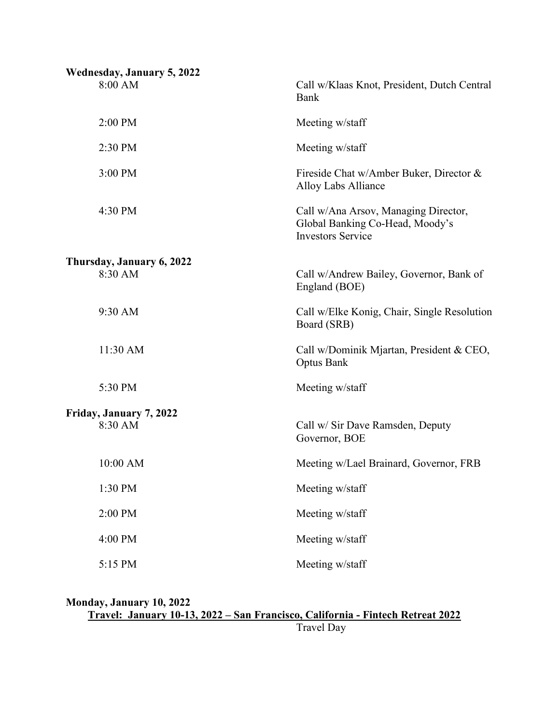| <b>Wednesday, January 5, 2022</b><br>8:00 AM | Call w/Klaas Knot, President, Dutch Central                                                         |
|----------------------------------------------|-----------------------------------------------------------------------------------------------------|
|                                              | Bank                                                                                                |
| 2:00 PM                                      | Meeting w/staff                                                                                     |
| 2:30 PM                                      | Meeting w/staff                                                                                     |
| 3:00 PM                                      | Fireside Chat w/Amber Buker, Director &<br>Alloy Labs Alliance                                      |
| 4:30 PM                                      | Call w/Ana Arsov, Managing Director,<br>Global Banking Co-Head, Moody's<br><b>Investors Service</b> |
| Thursday, January 6, 2022                    |                                                                                                     |
| 8:30 AM                                      | Call w/Andrew Bailey, Governor, Bank of<br>England (BOE)                                            |
| 9:30 AM                                      | Call w/Elke Konig, Chair, Single Resolution<br>Board (SRB)                                          |
| 11:30 AM                                     | Call w/Dominik Mjartan, President & CEO,<br><b>Optus Bank</b>                                       |
| 5:30 PM                                      | Meeting w/staff                                                                                     |
| Friday, January 7, 2022                      |                                                                                                     |
| 8:30 AM                                      | Call w/ Sir Dave Ramsden, Deputy<br>Governor, BOE                                                   |
| 10:00 AM                                     | Meeting w/Lael Brainard, Governor, FRB                                                              |
| 1:30 PM                                      | Meeting w/staff                                                                                     |
| 2:00 PM                                      | Meeting w/staff                                                                                     |
| 4:00 PM                                      | Meeting w/staff                                                                                     |
| 5:15 PM                                      | Meeting w/staff                                                                                     |

**Monday, January 10, 2022 Travel: January 10-13, 2022 – San Francisco, California - Fintech Retreat 2022**

Travel Day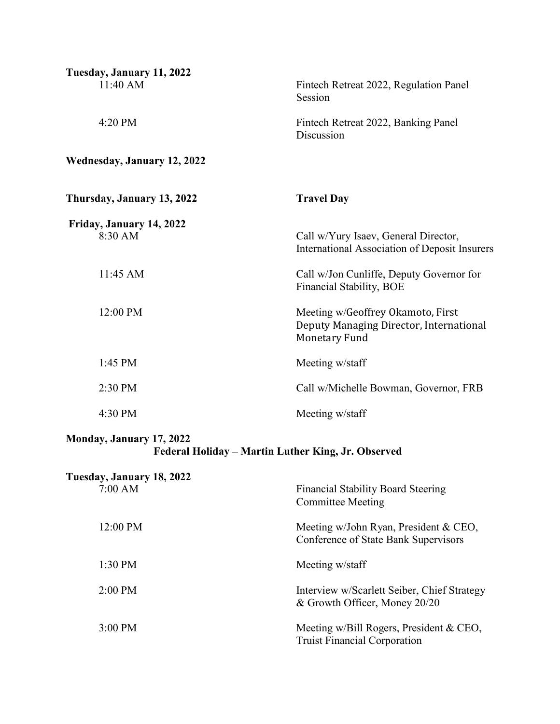| Tuesday, January 11, 2022<br>11:40 AM  | Fintech Retreat 2022, Regulation Panel<br>Session                                                    |
|----------------------------------------|------------------------------------------------------------------------------------------------------|
| 4:20 PM                                | Fintech Retreat 2022, Banking Panel<br>Discussion                                                    |
| <b>Wednesday, January 12, 2022</b>     |                                                                                                      |
| Thursday, January 13, 2022             | <b>Travel Day</b>                                                                                    |
| Friday, January 14, 2022<br>8:30 AM    | Call w/Yury Isaev, General Director,<br>International Association of Deposit Insurers                |
| 11:45 AM                               | Call w/Jon Cunliffe, Deputy Governor for<br>Financial Stability, BOE                                 |
| 12:00 PM                               | Meeting w/Geoffrey Okamoto, First<br>Deputy Managing Director, International<br><b>Monetary Fund</b> |
| 1:45 PM                                | Meeting w/staff                                                                                      |
| 2:30 PM                                | Call w/Michelle Bowman, Governor, FRB                                                                |
| 4:30 PM                                | Meeting w/staff                                                                                      |
| Monday, January 17, 2022               | Federal Holiday - Martin Luther King, Jr. Observed                                                   |
| Tuesday, January 18, 2022<br>$7:00$ AM | <b>Financial Stability Board Steering</b><br><b>Committee Meeting</b>                                |
| 12:00 PM                               | Meeting w/John Ryan, President & CEO,<br>Conference of State Bank Supervisors                        |
| 1:30 PM                                | Meeting w/staff                                                                                      |

2:00 PM Interview w/Scarlett Seiber, Chief Strategy

3:00 PM Meeting w/Bill Rogers, President & CEO,

& Growth Officer, Money 20/20

Truist Financial Corporation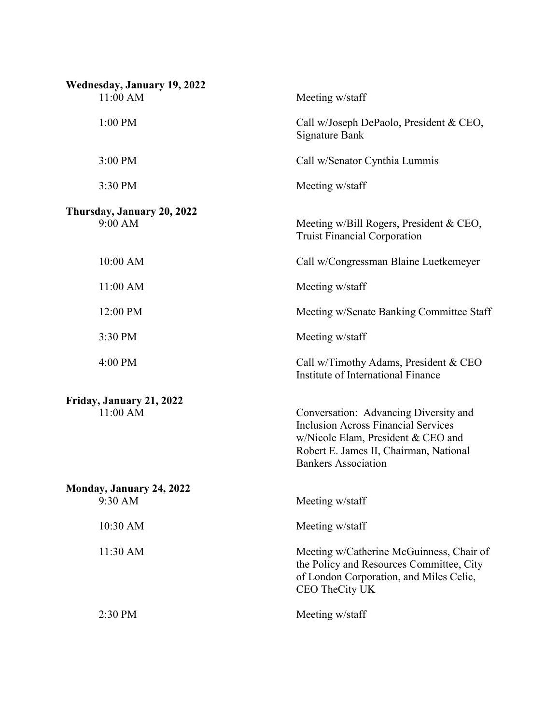| Wednesday, January 19, 2022<br>11:00 AM | Meeting w/staff                                                                                                                                                                                   |
|-----------------------------------------|---------------------------------------------------------------------------------------------------------------------------------------------------------------------------------------------------|
| 1:00 PM                                 | Call w/Joseph DePaolo, President & CEO,<br><b>Signature Bank</b>                                                                                                                                  |
| 3:00 PM                                 | Call w/Senator Cynthia Lummis                                                                                                                                                                     |
| 3:30 PM                                 | Meeting w/staff                                                                                                                                                                                   |
| Thursday, January 20, 2022<br>9:00 AM   | Meeting w/Bill Rogers, President & CEO,<br><b>Truist Financial Corporation</b>                                                                                                                    |
| 10:00 AM                                | Call w/Congressman Blaine Luetkemeyer                                                                                                                                                             |
| 11:00 AM                                | Meeting w/staff                                                                                                                                                                                   |
| 12:00 PM                                | Meeting w/Senate Banking Committee Staff                                                                                                                                                          |
| 3:30 PM                                 | Meeting w/staff                                                                                                                                                                                   |
| 4:00 PM                                 | Call w/Timothy Adams, President & CEO<br>Institute of International Finance                                                                                                                       |
| Friday, January 21, 2022<br>11:00 AM    | Conversation: Advancing Diversity and<br><b>Inclusion Across Financial Services</b><br>w/Nicole Elam, President & CEO and<br>Robert E. James II, Chairman, National<br><b>Bankers Association</b> |
| Monday, January 24, 2022<br>9:30 AM     | Meeting w/staff                                                                                                                                                                                   |
| 10:30 AM                                | Meeting w/staff                                                                                                                                                                                   |
| 11:30 AM                                | Meeting w/Catherine McGuinness, Chair of<br>the Policy and Resources Committee, City<br>of London Corporation, and Miles Celic,<br>CEO TheCity UK                                                 |
| 2:30 PM                                 | Meeting w/staff                                                                                                                                                                                   |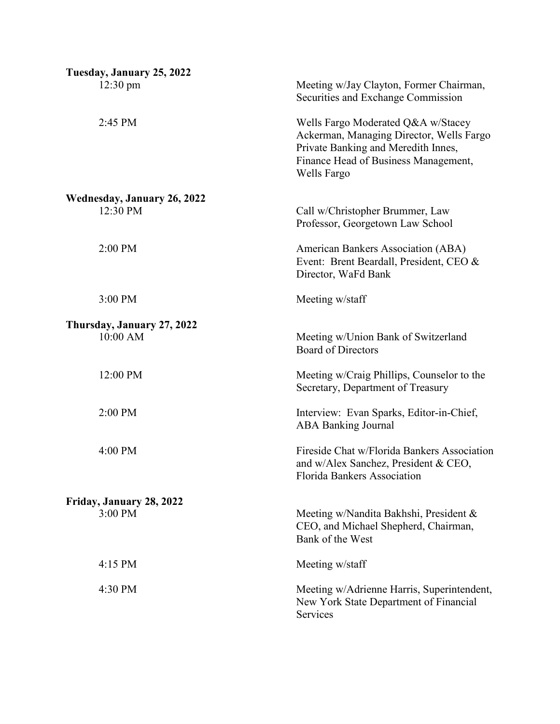| Tuesday, January 25, 2022          |                                                                                                                                                                              |
|------------------------------------|------------------------------------------------------------------------------------------------------------------------------------------------------------------------------|
| $12:30 \text{ pm}$                 | Meeting w/Jay Clayton, Former Chairman,<br>Securities and Exchange Commission                                                                                                |
| 2:45 PM                            | Wells Fargo Moderated Q&A w/Stacey<br>Ackerman, Managing Director, Wells Fargo<br>Private Banking and Meredith Innes,<br>Finance Head of Business Management,<br>Wells Fargo |
| <b>Wednesday, January 26, 2022</b> |                                                                                                                                                                              |
| 12:30 PM                           | Call w/Christopher Brummer, Law<br>Professor, Georgetown Law School                                                                                                          |
| 2:00 PM                            | American Bankers Association (ABA)<br>Event: Brent Beardall, President, CEO &<br>Director, WaFd Bank                                                                         |
| 3:00 PM                            | Meeting w/staff                                                                                                                                                              |
| Thursday, January 27, 2022         |                                                                                                                                                                              |
| 10:00 AM                           | Meeting w/Union Bank of Switzerland<br><b>Board of Directors</b>                                                                                                             |
| 12:00 PM                           | Meeting w/Craig Phillips, Counselor to the<br>Secretary, Department of Treasury                                                                                              |
| 2:00 PM                            | Interview: Evan Sparks, Editor-in-Chief,<br><b>ABA Banking Journal</b>                                                                                                       |
| 4:00 PM                            | Fireside Chat w/Florida Bankers Association<br>and w/Alex Sanchez, President & CEO,<br><b>Florida Bankers Association</b>                                                    |
| Friday, January 28, 2022           |                                                                                                                                                                              |
| 3:00 PM                            | Meeting w/Nandita Bakhshi, President &<br>CEO, and Michael Shepherd, Chairman,<br>Bank of the West                                                                           |
| $4:15$ PM                          | Meeting w/staff                                                                                                                                                              |
| 4:30 PM                            | Meeting w/Adrienne Harris, Superintendent,<br>New York State Department of Financial<br>Services                                                                             |